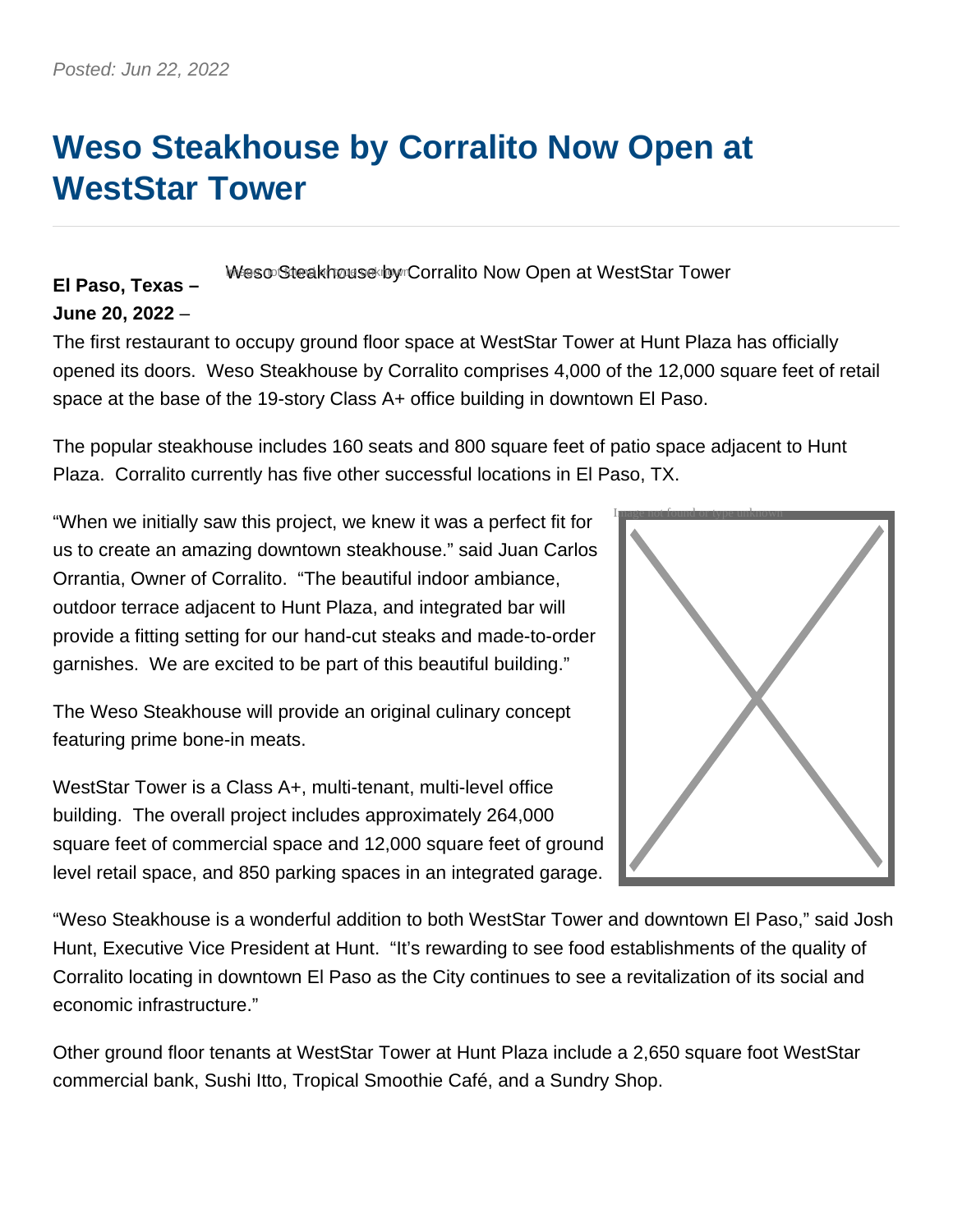# **Weso Steakhouse by Corralito Now Open at WestStar Tower**

Weso Steakhouse by Corralito Now Open at WestStar Tower

## **El Paso, Texas – June 20, 2022** –

The first restaurant to occupy ground floor space at WestStar Tower at Hunt Plaza has officially opened its doors. Weso Steakhouse by Corralito comprises 4,000 of the 12,000 square feet of retail space at the base of the 19-story Class A+ office building in downtown El Paso.

The popular steakhouse includes 160 seats and 800 square feet of patio space adjacent to Hunt Plaza. Corralito currently has five other successful locations in El Paso, TX.

"When we initially saw this project, we knew it was a perfect fit for us to create an amazing downtown steakhouse." said Juan Carlos Orrantia, Owner of Corralito. "The beautiful indoor ambiance, outdoor terrace adjacent to Hunt Plaza, and integrated bar will provide a fitting setting for our hand-cut steaks and made-to-order garnishes. We are excited to be part of this beautiful building."

The Weso Steakhouse will provide an original culinary concept featuring prime bone-in meats.

WestStar Tower is a Class A+, multi-tenant, multi-level office building. The overall project includes approximately 264,000 square feet of commercial space and 12,000 square feet of ground level retail space, and 850 parking spaces in an integrated garage.



"Weso Steakhouse is a wonderful addition to both WestStar Tower and downtown El Paso," said Josh Hunt, Executive Vice President at Hunt. "It's rewarding to see food establishments of the quality of Corralito locating in downtown El Paso as the City continues to see a revitalization of its social and economic infrastructure."

Other ground floor tenants at WestStar Tower at Hunt Plaza include a 2,650 square foot WestStar commercial bank, Sushi Itto, Tropical Smoothie Café, and a Sundry Shop.